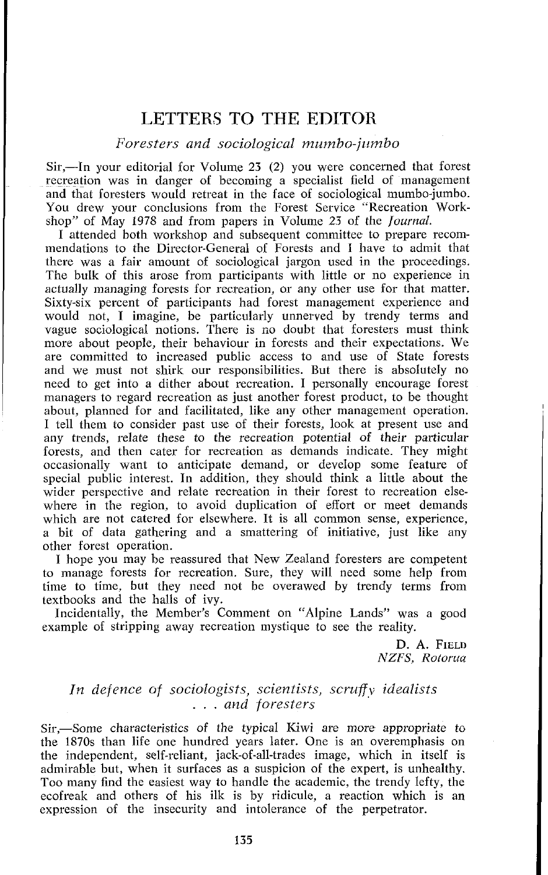## LETTERS TO THE EDITOR

## $Foresters and sociological~mumbo-jumbo$

Sir,—In your editorial for Volume 23 (2) you were concerned that forest recreation was in danger of becoming a specialist field of management and that foresters would retreat in the face of sociological mumbo-jumbo. You drew your conclusions from the Forest Service "Recreation Workshop" of May 1978 and from papers in Volume *23* of the Journal.

I attended both workshop and subsequent committee to prepare recommendations to the Director-General of Forests and **1** have to admit that there was a fair amount of sociological jargon used in the proceedings. The bulk of this arose from participants with little or no experience in actually managing forests for recreation, or any other use for that matter. Sixty-six percent of participants had forest management experience and would not, I imagine, be particularly unnerved by trendy terms and vague sociological notions. There is no doubt that foresters must think more about people, their behaviour in forests and their expectations. We are committed to increased public access to and use of State forests and we must not shirk our responsibilities. But there is absolutely no need to get into a dither about recreation. I personally encourage forest managers to regard recreation as just another forest product, to be thought about, planned for and facilitated, like any other management operation. I tell them to consider past use of their forests, look at present use and any trends, relate these to the recreation potential of their particular forests, and then cater for recreation as demands indicate. They might occasionally want to anticipate demand, or develop some feature of special public interest. In addition, they should think a little about the wider perspective and relate recreation in their forest to recreation elsewhere in the region, to avoid duplication of effort or meet demands which are not catered for elsewhere. It is all common sense, experience, a bit of data gathering and a smattering of initiative, just like any other forest operation.

I hope you may be reassured that New Zealand foresters are competent to manage forests for recreation. Sure, they will need some help from time to time, but they need not be overawed by trendy terms from textbooks and the halls of ivy.

Incidentally, the Member's Comment on "Alpine Lands" was a good example of stripping away recreation mystique to see the reality.

> D. **A.** FIELD *NZFS, Roforuu*

## *In defence of sociologists, scientists, scruff,^ idealists* . . . *and foresters*

Sir.—Some characteristics of the typical Kiwi are more appropriate to the 1870s than life one hundred years later. One is an overemphasis on the independent, self-reliant, jack-of-all-trades image, which in itself is admirable but, when it surfaces as a suspicion of the expert, is unhealthy. Too many find the easiest way to handle the academic, the trendy lefty, the ecofreak and others of his ilk is by ridicule, a reaction which is an expression of the insecurity and intolerance of the perpetrator.